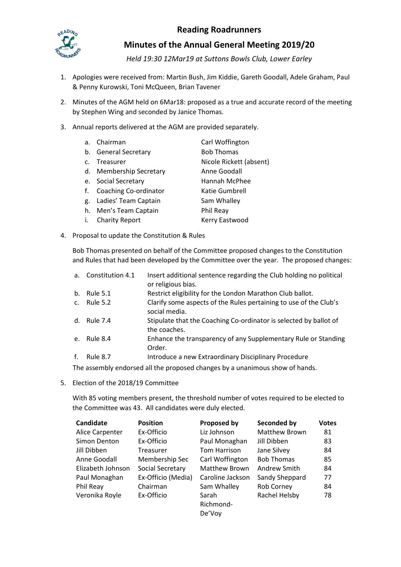## **Reading Roadrunners**



**Minutes of the Annual General Meeting 2019/20**

*Held 19:30 12Mar19 at Suttons Bowls Club, Lower Earley*

- 1. Apologies were received from: Martin Bush, Jim Kiddie, Gareth Goodall, Adele Graham, Paul & Penny Kurowski, Toni McQueen, Brian Tavener
- 2. Minutes of the AGM held on 6Mar18: proposed as a true and accurate record of the meeting by Stephen Wing and seconded by Janice Thomas.
- 3. Annual reports delivered at the AGM are provided separately.
	- a. Chairman Carl Woffington b. General Secretary **Bob Thomas** c. Treasurer Nicole Rickett (absent) d. Membership Secretary **Anne Goodall** e. Social Secretary **Hannah McPhee** f. Coaching Co-ordinator Katie Gumbrell g. Ladies' Team Captain Sam Whalley h. Men's Team Captain Phil Reay
	- i. Charity Report Kerry Eastwood
- <span id="page-0-0"></span>4. Proposal to update the Constitution & Rules

Bob Thomas presented on behalf of the Committee proposed changes to the Constitution and Rules that had been developed by the Committee over the year. The proposed changes:

| a.             | Constitution 4.1 | Insert additional sentence regarding the Club holding no political<br>or religious bias. |
|----------------|------------------|------------------------------------------------------------------------------------------|
| $b_{1}$        | Rule 5.1         | Restrict eligibility for the London Marathon Club ballot.                                |
| C <sub>1</sub> | Rule 5.2         | Clarify some aspects of the Rules pertaining to use of the Club's<br>social media.       |
|                | d. Rule 7.4      | Stipulate that the Coaching Co-ordinator is selected by ballot of<br>the coaches.        |
| e.             | Rule 8.4         | Enhance the transparency of any Supplementary Rule or Standing<br>Order.                 |
| f.             | <b>Rule 8.7</b>  | Introduce a new Extraordinary Disciplinary Procedure                                     |
|                |                  |                                                                                          |

The assembly endorsed all the proposed changes by a unanimous show of hands.

5. Election of the 2018/19 Committee

With 85 voting members present, the threshold number of votes required to be elected to the Committee was 43. All candidates were duly elected.

| Candidate         | <b>Position</b>    | <b>Proposed by</b> | Seconded by       | <b>Votes</b> |
|-------------------|--------------------|--------------------|-------------------|--------------|
| Alice Carpenter   | Ex-Officio         | Liz Johnson        | Matthew Brown     | 81           |
| Simon Denton      | Ex-Officio         | Paul Monaghan      | Jill Dibben       | 83           |
| Jill Dibben       | <b>Treasurer</b>   | Tom Harrison       | Jane Silvey       | 84           |
| Anne Goodall      | Membership Sec     | Carl Woffington    | <b>Bob Thomas</b> | 85           |
| Elizabeth Johnson | Social Secretary   | Matthew Brown      | Andrew Smith      | 84           |
| Paul Monaghan     | Ex-Officio (Media) | Caroline Jackson   | Sandy Sheppard    | 77           |
| Phil Reay         | Chairman           | Sam Whalley        | Rob Corney        | 84           |
| Veronika Royle    | Ex-Officio         | Sarah              | Rachel Helsby     | 78           |
|                   |                    | Richmond-          |                   |              |
|                   |                    | De'Voy             |                   |              |